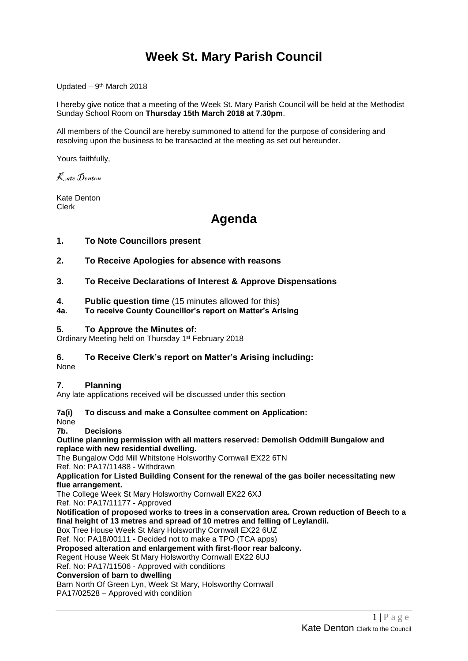# **Week St. Mary Parish Council**

Updated - 9<sup>th</sup> March 2018

I hereby give notice that a meeting of the Week St. Mary Parish Council will be held at the Methodist Sunday School Room on **Thursday 15th March 2018 at 7.30pm**.

All members of the Council are hereby summoned to attend for the purpose of considering and resolving upon the business to be transacted at the meeting as set out hereunder.

Yours faithfully,

Kate Denton

Kate Denton Clerk

# **Agenda**

# **1. To Note Councillors present**

- **2. To Receive Apologies for absence with reasons**
- **3. To Receive Declarations of Interest & Approve Dispensations**
- **4. Public question time** (15 minutes allowed for this)
- **4a. To receive County Councillor's report on Matter's Arising**

## **5. To Approve the Minutes of:**

Ordinary Meeting held on Thursday 1<sup>st</sup> February 2018

# **6. To Receive Clerk's report on Matter's Arising including:**

None

### **7. Planning**

Any late applications received will be discussed under this section

**7a(i) To discuss and make a Consultee comment on Application:**

None

### **7b. Decisions**

**[Outline planning permission with all matters reserved: Demolish Oddmill Bungalow and](http://planning.cornwall.gov.uk/online-applications/applicationDetails.do?keyVal=P0FJRCFGLOC00&activeTab=summary)  [replace with new residential dwelling.](http://planning.cornwall.gov.uk/online-applications/applicationDetails.do?keyVal=P0FJRCFGLOC00&activeTab=summary)**

The Bungalow Odd Mill Whitstone Holsworthy Cornwall EX22 6TN Ref. No: PA17/11488 - Withdrawn

**[Application for Listed Building Consent for the renewal of the gas boiler necessitating new](http://planning.cornwall.gov.uk/online-applications/applicationDetails.do?keyVal=OZVIVSFG1OU00&activeTab=summary)  [flue arrangement.](http://planning.cornwall.gov.uk/online-applications/applicationDetails.do?keyVal=OZVIVSFG1OU00&activeTab=summary)**

The College Week St Mary Holsworthy Cornwall EX22 6XJ

Ref. No: PA17/11177 - Approved

**[Notification of proposed works to trees in a conservation area. Crown reduction of Beech to a](http://planning.cornwall.gov.uk/online-applications/applicationDetails.do?keyVal=P22VLRFG1OU00&activeTab=summary)  [final height of 13 metres and spread of 10 metres and felling of Leylandii.](http://planning.cornwall.gov.uk/online-applications/applicationDetails.do?keyVal=P22VLRFG1OU00&activeTab=summary)**

Box Tree House Week St Mary Holsworthy Cornwall EX22 6UZ

Ref. No: PA18/00111 - Decided not to make a TPO (TCA apps)

**[Proposed alteration and enlargement with first-floor rear balcony.](http://planning.cornwall.gov.uk/online-applications/applicationDetails.do?keyVal=P0FS5FFGLVV00&activeTab=summary)**

Regent House Week St Mary Holsworthy Cornwall EX22 6UJ

Ref. No: PA17/11506 - Approved with conditions

## **Conversion of barn to dwelling**

Barn North Of Green Lyn, Week St Mary, Holsworthy Cornwall

PA17/02528 – Approved with condition